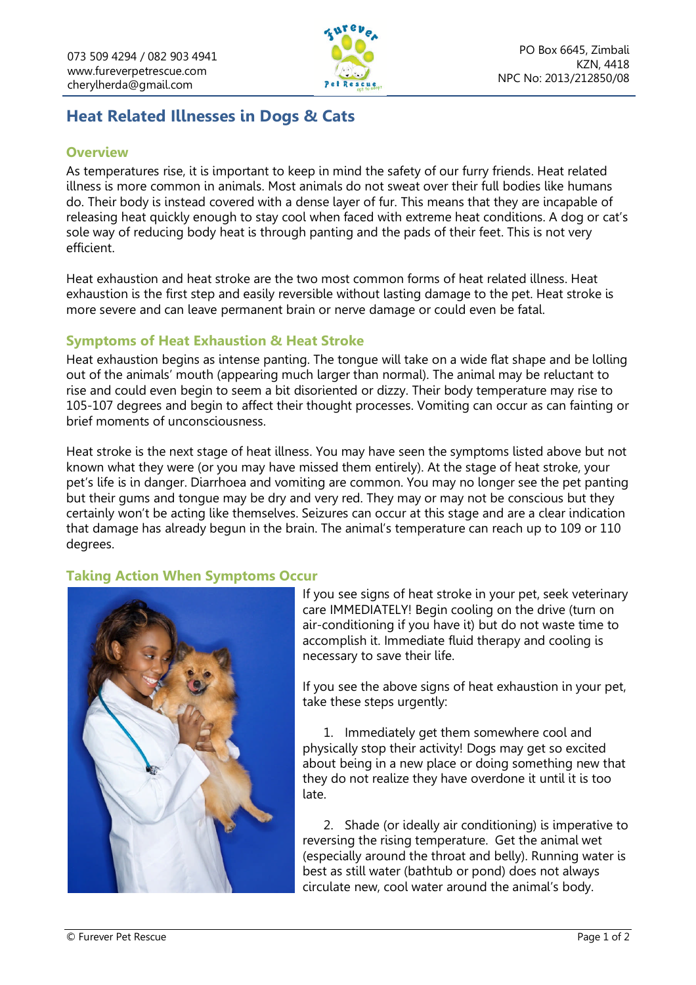

# **Heat Related Illnesses in Dogs & Cats**

### **Overview**

As temperatures rise, it is important to keep in mind the safety of our furry friends. Heat related illness is more common in animals. Most animals do not sweat over their full bodies like humans do. Their body is instead covered with a dense layer of fur. This means that they are incapable of releasing heat quickly enough to stay cool when faced with extreme heat conditions. A dog or cat's sole way of reducing body heat is through panting and the pads of their feet. This is not very efficient.

Heat exhaustion and heat stroke are the two most common forms of heat related illness. Heat exhaustion is the first step and easily reversible without lasting damage to the pet. Heat stroke is more severe and can leave permanent brain or nerve damage or could even be fatal.

#### **Symptoms of Heat Exhaustion & Heat Stroke**

Heat exhaustion begins as intense panting. The tongue will take on a wide flat shape and be lolling out of the animals' mouth (appearing much larger than normal). The animal may be reluctant to rise and could even begin to seem a bit disoriented or dizzy. Their body temperature may rise to 105-107 degrees and begin to affect their thought processes. Vomiting can occur as can fainting or brief moments of unconsciousness.

Heat stroke is the next stage of heat illness. You may have seen the symptoms listed above but not known what they were (or you may have missed them entirely). At the stage of heat stroke, your pet's life is in danger. Diarrhoea and vomiting are common. You may no longer see the pet panting but their gums and tongue may be dry and very red. They may or may not be conscious but they certainly won't be acting like themselves. Seizures can occur at this stage and are a clear indication that damage has already begun in the brain. The animal's temperature can reach up to 109 or 110 degrees.

## **Taking Action When Symptoms Occur**



If you see signs of heat stroke in your pet, seek veterinary care IMMEDIATELY! Begin cooling on the drive (turn on air-conditioning if you have it) but do not waste time to accomplish it. Immediate fluid therapy and cooling is necessary to save their life.

If you see the above signs of heat exhaustion in your pet, take these steps urgently:

1. Immediately get them somewhere cool and physically stop their activity! Dogs may get so excited about being in a new place or doing something new that they do not realize they have overdone it until it is too late.

2. Shade (or ideally air conditioning) is imperative to reversing the rising temperature. Get the animal wet (especially around the throat and belly). Running water is best as still water (bathtub or pond) does not always circulate new, cool water around the animal's body.